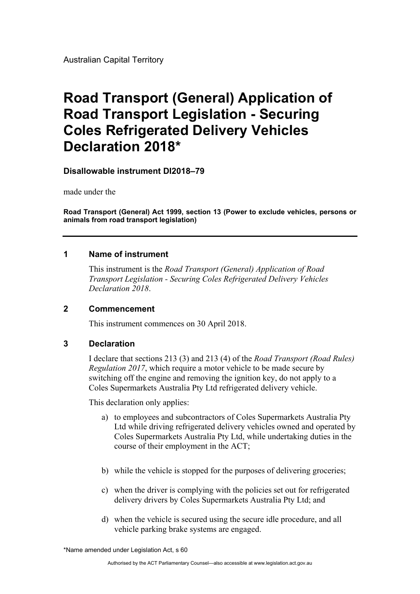Australian Capital Territory

# **Road Transport (General) Application of Road Transport Legislation - Securing Coles Refrigerated Delivery Vehicles Declaration 2018\***

**Disallowable instrument DI2018–79** 

made under the

**Road Transport (General) Act 1999, section 13 (Power to exclude vehicles, persons or animals from road transport legislation)** 

#### **1 Name of instrument**

This instrument is the *Road Transport (General) Application of Road Transport Legislation - Securing Coles Refrigerated Delivery Vehicles Declaration 2018*.

#### **2 Commencement**

This instrument commences on 30 April 2018.

#### **3 Declaration**

I declare that sections 213 (3) and 213 (4) of the *Road Transport (Road Rules) Regulation 2017*, which require a motor vehicle to be made secure by switching off the engine and removing the ignition key, do not apply to a Coles Supermarkets Australia Pty Ltd refrigerated delivery vehicle.

This declaration only applies:

- a) to employees and subcontractors of Coles Supermarkets Australia Pty Ltd while driving refrigerated delivery vehicles owned and operated by Coles Supermarkets Australia Pty Ltd, while undertaking duties in the course of their employment in the ACT;
- b) while the vehicle is stopped for the purposes of delivering groceries;
- c) when the driver is complying with the policies set out for refrigerated delivery drivers by Coles Supermarkets Australia Pty Ltd; and
- d) when the vehicle is secured using the secure idle procedure, and all vehicle parking brake systems are engaged.

<sup>\*</sup>Name amended under Legislation Act, s 60